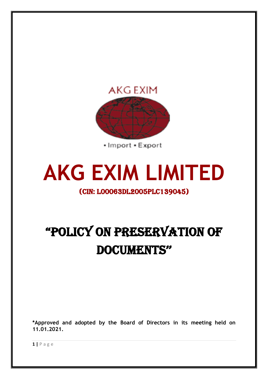

**AKG EXIM LIMITED**

# (CIN: L00063DL2005PLC139045)

# "POLICY ON PRESERVATION OF DOCUMENTS''

**\*Approved and adopted by the Board of Directors in its meeting held on 11.01.2021.**

**1 |** P a g e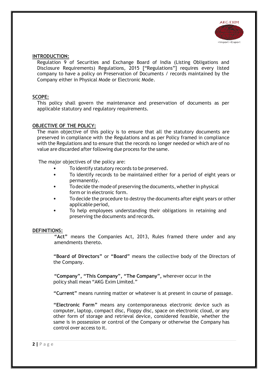

#### **INTRODUCTION:**

Regulation 9 of Securities and Exchange Board of India (Listing Obligations and Disclosure Requirements) Regulations, 2015 ["Regulations"] requires every listed company to have a policy on Preservation of Documents / records maintained by the Company either in Physical Mode or Electronic Mode.

# **SCOPE:**

This policy shall govern the maintenance and preservation of documents as per applicable statutory and regulatory requirements.

# **OBJECTIVE OF THE POLICY:**

The main objective of this policy is to ensure that all the statutory documents are preserved in compliance with the Regulations and as per Policy framed in compliance with the Regulations and to ensure that the records no longer needed or which are of no value are discarded after following due process for the same.

The major objectives of the policy are:

- To identify statutory records to be preserved.
- To identify records to be maintained either for a period of eight years or permanently.
- Todecide the mode of preserving the documents, whether in physical form or in electronic form.
- To decide the procedure to destroy the documents after eight years or other applicable period,
- To help employees understanding their obligations in retaining and preserving the documents and records.

#### **DEFINITIONS:**

**"Act"** means the Companies Act, 2013, Rules framed there under and any amendments thereto.

**"Board of Directors"** or **"Board"** means the collective body of the Directors of the Company.

**"Company", "This Company", "The Company",** wherever occur in the policy shall mean "AKG Exim Limited."

**"Current"** means running matter or whatever is at present in course of passage.

**"Electronic Form"** means any contemporaneous electronic device such as computer, laptop, compact disc, Floppy disc, space on electronic cloud, or any other form of storage and retrieval device, considered feasible, whether the same is in possession or control of the Company or otherwise the Company has control over access to it.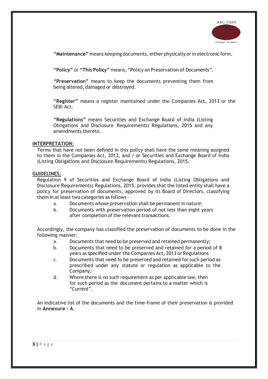

"Maintenance" means keeping documents, either physically or in electronic form.

**"Policy"** or **"This Policy"** means, "Policy on Preservation of Documents".

**"Preservation"** means to keep the documents preventing them from being altered, damaged or destroyed.

**"Register"** means a register maintained under the Companies Act, 2013 or the SEBI Act.

**"Regulations"** means Securities and Exchange Board of India (Listing Obligations and Disclosure Requirements) Regulations, 2015 and any amendments thereto.

#### **INTERPRETATION:**

Terms that have not been defined in this policy shall have the same meaning assigned to them in the Companies Act, 2013, and / or Securities and Exchange Board of India (Listing Obligations and Disclosure Requirements) Regulations, 2015.

# **GUIDELINES:**

Regulation 9 of Securities and Exchange Board of India (Listing Obligations and Disclosure Requirements) Regulations, 2015, provides that the listed entity shall have a policy for preservation of documents, approved by its Board of Directors, classifying them in at least two categories as follows -

- a. Documents whose preservation shall be permanent in nature;
- b. Documents with preservation period of not less than eight years after completion of the relevant transactions.

Accordingly, the company has classified the preservation of documents to be done in the following manner:

- a. Documents that need to be preserved and retained permanently;
- b. Documents that need to be preserved and retained for a period of 8 years as specified under the Companies Act, 2013 or Regulations
- c. Documents that need to be preserved and retained for such period as prescribed under any statute or regulation as applicable to the Company;
- d. Where there is no such requirement as per applicable law, then for such period as the document pertains to a matter which is "Current".

An indicative list of the documents and the time-frame of their preservation is provided in **Annexure – A**.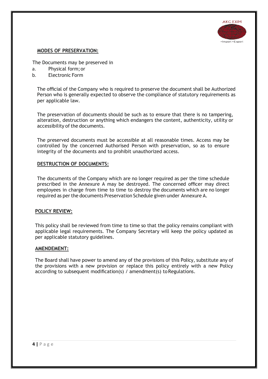

# **MODES OF PRESERVATION:**

The Documents may be preserved in

- a. Physical form;or
- b. Electronic Form

The official of the Company who is required to preserve the document shall be Authorized Person who is generally expected to observe the compliance of statutory requirements as per applicable law.

The preservation of documents should be such as to ensure that there is no tampering, alteration, destruction or anything which endangers the content, authenticity, utility or accessibility of the documents.

The preserved documents must be accessible at all reasonable times. Access may be controlled by the concerned Authorised Person with preservation, so as to ensure integrity of the documents and to prohibit unauthorized access.

# **DESTRUCTION OF DOCUMENTS:**

The documents of the Company which are no longer required as per the time schedule prescribed in the Annexure A may be destroyed. The concerned officer may direct employees in charge from time to time to destroy the documents which are no longer required as per the documents Preservation Schedule given under Annexure A.

#### **POLICY REVIEW:**

This policy shall be reviewed from time to time so that the policy remains compliant with applicable legal requirements. The Company Secretary will keep the policy updated as per applicable statutory guidelines.

#### **AMENDEMENT:**

The Board shall have power to amend any of the provisions of this Policy, substitute any of the provisions with a new provision or replace this policy entirely with a new Policy according to subsequent modification(s) / amendment(s) toRegulations.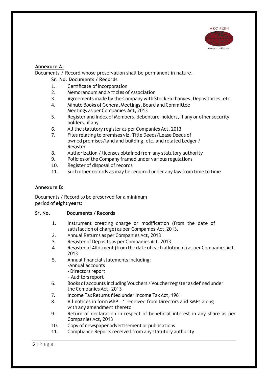

# **Annexure A:**

Documents / Record whose preservation shall be permanent in nature.

# **Sr. No. Documents / Records**

- 1. Certificate ofincorporation
- 2. Memorandum and Articles of Association
- 3. Agreements made by the Company with Stock Exchanges, Depositories, etc.
- 4. Minute Books of General Meetings, Board and Committee Meetings as per Companies Act, 2013
- 5. Register and Index of Members, debenture-holders, if any or other security holders, if any
- 6. All the statutory register as per Companies Act, 2013
- 7. Files relating to premises viz. Title Deeds/Lease Deeds of owned premises/land and building, etc. and related Ledger / Register
- 8. Authorization / licenses obtained from any statutory authority
- 9. Policies of the Company framed under various regulations
- 10. Register of disposal of records
- 11. Such other records as may be required under any law from time to time

# **Annexure B:**

Documents / Record to be preserved for a minimum period of **eight years**:

# **Sr. No. Documents / Records**

- 1. Instrument creating charge or modification (from the date of satisfaction of charge) as per Companies Act,2013.
- 2. Annual Returns as per Companies Act, 2013
- 3. Register of Deposits as per Companies Act, 2013
- 4. Register of Allotment(from the date of each allotment) as per Companies Act, 2013
- 5. Annual financial statements including:
	- -Annual accounts
	- Directors report
	- Auditors report
- 6. Books of accounts including Vouchers / Voucherregister asdefined under the Companies Act, 2013
- 7. Income Tax Returns filed under Income Tax Act, 1961
- 8. All notices in form MBP 1 received from Directors and KMPs along with any amendment thereto
- 9. Return of declaration in respect of beneficial interest in any share as per Companies Act, 2013
- 10. Copy of newspaper advertisement or publications
- 11. Compliance Reports received from any statutory authority